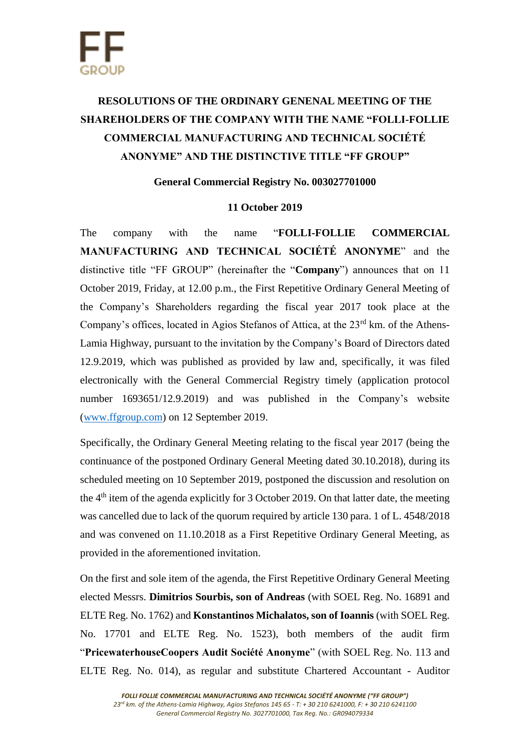## **RESOLUTIONS OF THE ORDINARY GENENAL MEETING OF THE SHAREHOLDERS OF THE COMPANY WITH THE NAME "FOLLI-FOLLIE COMMERCIAL MANUFACTURING AND TECHNICAL SOCIÉTÉ ANONYME" AND THE DISTINCTIVE TITLE "FF GROUP"**

## **General Commercial Registry No. 003027701000**

## **11 October 2019**

The company with the name "**FOLLI-FOLLIE COMMERCIAL MANUFACTURING AND TECHNICAL SOCIÉTÉ ANONYME**" and the distinctive title "FF GROUP" (hereinafter the "**Company**") announces that on 11 October 2019, Friday, at 12.00 p.m., the First Repetitive Ordinary General Meeting of the Company's Shareholders regarding the fiscal year 2017 took place at the Company's offices, located in Agios Stefanos of Attica, at the  $23<sup>rd</sup>$  km. of the Athens-Lamia Highway, pursuant to the invitation by the Company's Board of Directors dated 12.9.2019, which was published as provided by law and, specifically, it was filed electronically with the General Commercial Registry timely (application protocol number 1693651/12.9.2019) and was published in the Company's website [\(www.ffgroup.com\)](http://www.ffgroup.com/) on 12 September 2019.

Specifically, the Ordinary General Meeting relating to the fiscal year 2017 (being the continuance of the postponed Ordinary General Meeting dated 30.10.2018), during its scheduled meeting on 10 September 2019, postponed the discussion and resolution on the  $4<sup>th</sup>$  item of the agenda explicitly for 3 October 2019. On that latter date, the meeting was cancelled due to lack of the quorum required by article 130 para. 1 of L. 4548/2018 and was convened on 11.10.2018 as a First Repetitive Ordinary General Meeting, as provided in the aforementioned invitation.

On the first and sole item of the agenda, the First Repetitive Ordinary General Meeting elected Messrs. **Dimitrios Sourbis, son of Andreas** (with SOEL Reg. No. 16891 and ELTE Reg. No. 1762) and **Konstantinos Michalatos, son of Ioannis** (with SOEL Reg. No. 17701 and ELTE Reg. No. 1523), both members of the audit firm "**PricewaterhouseCoopers Audit Société Anonyme**" (with SOEL Reg. No. 113 and ELTE Reg. No. 014), as regular and substitute Chartered Accountant - Auditor